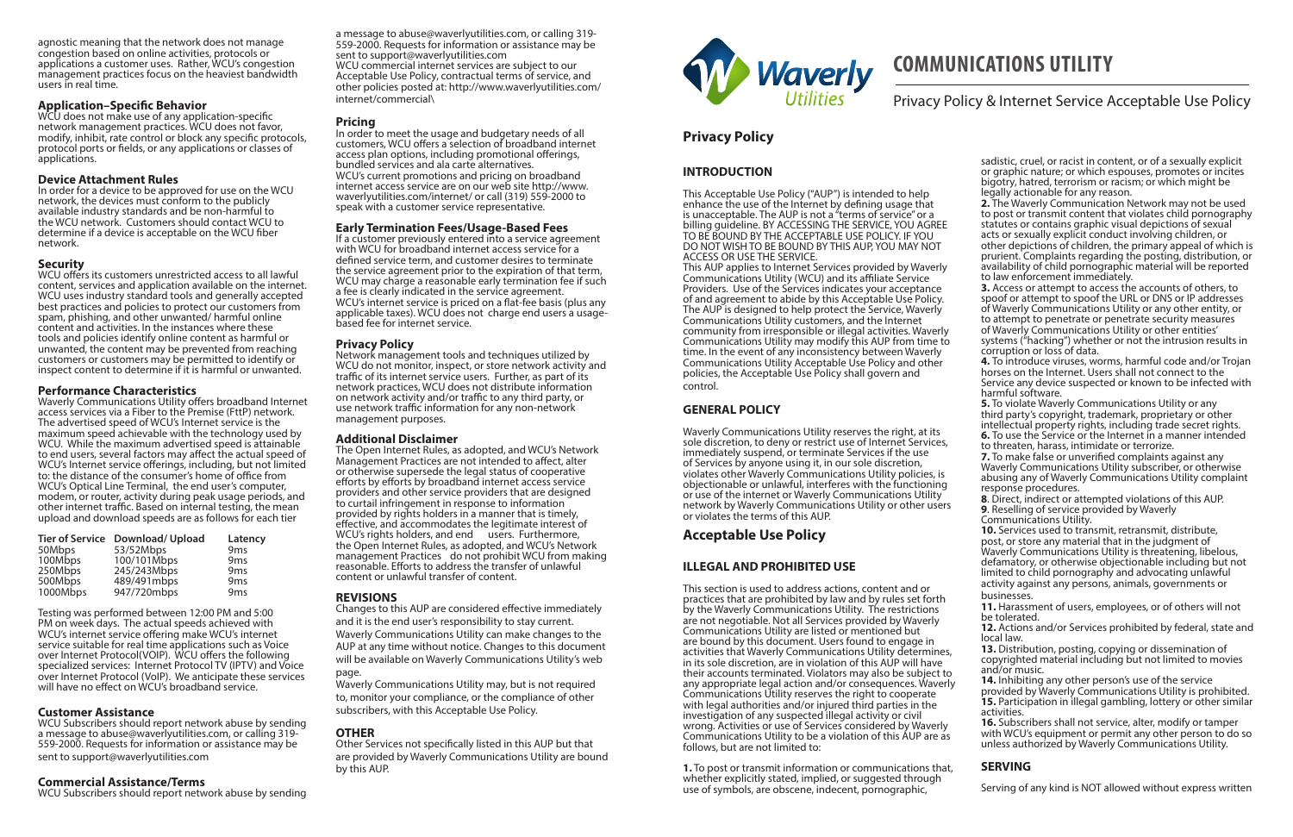# **COMMUNICATIONS UTILITY**

# Privacy Policy & Internet Service Acceptable Use Policy

### **INTRODUCTION**

This Acceptable Use Policy ("AUP") is intended to help enhance the use of the Internet by defining usage that is unacceptable. The AUP is not a "terms of service" or a billing guideline. BY ACCESSING THE SERVICE, YOU AGREE TO BE BOUND BY THE ACCEPTABLE USE POLICY. IF YOU DO NOT WISH TO BE BOUND BY THIS AUP, YOU MAY NOT ACCESS OR USE THE SERVICE.

This AUP applies to Internet Services provided by Waverly Communications Utility (WCU) and its affiliate Service Providers. Use of the Services indicates your acceptance of and agreement to abide by this Acceptable Use Policy. The AUP is designed to help protect the Service, Waverly Communications Utility customers, and the Internet community from irresponsible or illegal activities. Waverly Communications Utility may modify this AUP from time to time. In the event of any inconsistency between Waverly Communications Utility Acceptable Use Policy and other policies, the Acceptable Use Policy shall govern and control.

## **GENERAL POLICY**

Waverly Communications Utility reserves the right, at its sole discretion, to deny or restrict use of Internet Services, immediately suspend, or terminate Services if the use of Services by anyone using it, in our sole discretion, violates other Waverly Communications Utility policies, is objectionable or unlawful, interferes with the functioning or use of the internet or Waverly Communications Utility network by Waverly Communications Utility or other users or violates the terms of this AUP.

# **Privacy Policy**

# **ILLEGAL AND PROHIBITED USE**

2. The Waverly Communication Network may not be used to post or transmit content that violates child pornography statutes or contains graphic visual depictions of sexual acts or sexually explicit conduct involving children, or other depictions of children, the primary appeal of which is prurient. Complaints regarding the posting, distribution, or availability of child pornographic material will be reported to law enforcement immediately.

This section is used to address actions, content and or practices that are prohibited by law and by rules set forth by the Waverly Communications Utility. The restrictions are not negotiable. Not all Services provided by Waverly Communications Utility are listed or mentioned but are bound by this document. Users found to engage in activities that Waverly Communications Utility determines, in its sole discretion, are in violation of this AUP will have their accounts terminated. Violators may also be subject to any appropriate legal action and/or consequences. Waverly Communications Utility reserves the right to cooperate with legal authorities and/or injured third parties in the investigation of any suspected illegal activity or civil wrong. Activities or use of Services considered by Waverly Communications Utility to be a violation of this AUP are as follows, but are not limited to:

**1.** To post or transmit information or communications that, whether explicitly stated, implied, or suggested through use of symbols, are obscene, indecent, pornographic,

# **Acceptable Use Policy**

sadistic, cruel, or racist in content, or of a sexually explicit or graphic nature; or which espouses, promotes or incites bigotry, hatred, terrorism or racism; or which might be legally actionable for any reason.

**3.** Access or attempt to access the accounts of others, to spoof or attempt to spoof the URL or DNS or IP addresses of Waverly Communications Utility or any other entity, or to attempt to penetrate or penetrate security measures of Waverly Communications Utility or other entities' systems ("hacking") whether or not the intrusion results in corruption or loss of data.

**4.** To introduce viruses, worms, harmful code and/or Trojan horses on the Internet. Users shall not connect to the Service any device suspected or known to be infected with harmful software.

**5.** To violate Waverly Communications Utility or any third party's copyright, trademark, proprietary or other intellectual property rights, including trade secret rights. **6.** To use the Service or the Internet in a manner intended to threaten, harass, intimidate or terrorize.

**7.** To make false or unverified complaints against any Waverly Communications Utility subscriber, or otherwise abusing any of Waverly Communications Utility complaint response procedures.

**8**. Direct, indirect or attempted violations of this AUP. **9**. Reselling of service provided by Waverly

Communications Utility. **10.** Services used to transmit, retransmit, distribute,

post, or store any material that in the judgment of Waverly Communications Utility is threatening, libelous, defamatory, or otherwise objectionable including but not limited to child pornography and advocating unlawful activity against any persons, animals, governments or businesses.

**11.** Harassment of users, employees, or of others will not be tolerated.

**12.** Actions and/or Services prohibited by federal, state and local law.

**13.** Distribution, posting, copying or dissemination of copyrighted material including but not limited to movies and/or music.

**14.** Inhibiting any other person's use of the service provided by Waverly Communications Utility is prohibited. **15.** Participation in illegal gambling, lottery or other similar activities.

**16.** Subscribers shall not service, alter, modify or tamper with WCU's equipment or permit any other person to do so unless authorized by Waverly Communications Utility.

## **SERVING**

Serving of any kind is NOT allowed without express written

agnostic meaning that the network does not manage congestion based on online activities, protocols or applications a customer uses. Rather, WCU's congestion management practices focus on the heaviest bandwidth users in real time.

### **Application–Specific Behavior**

WCU does not make use of any application-specific network management practices. WCU does not favor, modify, inhibit, rate control or block any specific protocols, protocol ports or fields, or any applications or classes of applications.

### **Device Attachment Rules**

In order for a device to be approved for use on the WCU network, the devices must conform to the publicly available industry standards and be non-harmful to the WCU network. Customers should contact WCU to determine if a device is acceptable on the WCU fiber network.

### **Security**

WCU offers its customers unrestricted access to all lawful content, services and application available on the internet. WCU uses industry standard tools and generally accepted best practices and policies to protect our customers from spam, phishing, and other unwanted/ harmful online content and activities. In the instances where these tools and policies identify online content as harmful or unwanted, the content may be prevented from reaching customers or customers may be permitted to identify or inspect content to determine if it is harmful or unwanted.

### **Performance Characteristics**

Waverly Communications Utility offers broadband Internet access services via a Fiber to the Premise (FttP) network. The advertised speed of WCU's Internet service is the maximum speed achievable with the technology used by WCU. While the maximum advertised speed is attainable to end users, several factors may affect the actual speed of WCU's Internet service offerings, including, but not limited to: the distance of the consumer's home of office from WCU's Optical Line Terminal, the end user's computer, modem, or router, activity during peak usage periods, and other internet traffic. Based on internal testing, the mean upload and download speeds are as follows for each tier

|          | Tier of Service Download/Upload | Latency         |
|----------|---------------------------------|-----------------|
| 50Mbps   | 53/52Mbps                       | 9 <sub>ms</sub> |
| 100Mbps  | 100/101Mbps                     | 9 <sub>ms</sub> |
| 250Mbps  | 245/243Mbps                     | 9 <sub>ms</sub> |
| 500Mbps  | 489/491mbps                     | 9 <sub>ms</sub> |
| 1000Mbps | 947/720mbps                     | 9 <sub>ms</sub> |

Testing was performed between 12:00 PM and 5:00 PM on week days. The actual speeds achieved with WCU's internet service offering make WCU's internet service suitable for real time applications such as Voice over Internet Protocol(VOIP). WCU offers the following specialized services: Internet Protocol TV (IPTV) and Voice over Internet Protocol (VoIP). We anticipate these services will have no effect on WCU's broadband service.

### **Customer Assistance**

WCU Subscribers should report network abuse by sending a message to abuse@waverlyutilities.com, or calling 319- 559-2000. Requests for information or assistance may be sent to support@waverlyutilities.com

### **Commercial Assistance/Terms**

WCU Subscribers should report network abuse by sending

a message to abuse@waverlyutilities.com, or calling 319- 559-2000. Requests for information or assistance may be sent to support@waverlyutilities.com WCU commercial internet services are subject to our Acceptable Use Policy, contractual terms of service, and other policies posted at: http://www.waverlyutilities.com/ internet/commercial\

### **Pricing**

In order to meet the usage and budgetary needs of all customers, WCU offers a selection of broadband internet access plan options, including promotional offerings, bundled services and ala carte alternatives. WCU's current promotions and pricing on broadband internet access service are on our web site http://www. waverlyutilities.com/internet/ or call (319) 559-2000 to speak with a customer service representative.

### **Early Termination Fees/Usage-Based Fees**

If a customer previously entered into a service agreement with WCU for broadband internet access service for a defined service term, and customer desires to terminate the service agreement prior to the expiration of that term, WCU may charge a reasonable early termination fee if such a fee is clearly indicated in the service agreement. WCU's internet service is priced on a flat-fee basis (plus any applicable taxes). WCU does not charge end users a usagebased fee for internet service.

### **Privacy Policy**

Network management tools and techniques utilized by WCU do not monitor, inspect, or store network activity and traffic of its internet service users. Further, as part of its network practices, WCU does not distribute information on network activity and/or traffic to any third party, or use network traffic information for any non-network management purposes.

### **Additional Disclaimer**

The Open Internet Rules, as adopted, and WCU's Network Management Practices are not intended to affect, alter or otherwise supersede the legal status of cooperative efforts by efforts by broadband internet access service providers and other service providers that are designed to curtail infringement in response to information provided by rights holders in a manner that is timely, effective, and accommodates the legitimate interest of WCU's rights holders, and end users. Furthermore, the Open Internet Rules, as adopted, and WCU's Network management Practices do not prohibit WCU from making reasonable. Efforts to address the transfer of unlawful content or unlawful transfer of content.

### **REVISIONS**

Changes to this AUP are considered effective immediately and it is the end user's responsibility to stay current. Waverly Communications Utility can make changes to the AUP at any time without notice. Changes to this document will be available on Waverly Communications Utility's web page.

Waverly Communications Utility may, but is not required to, monitor your compliance, or the compliance of other subscribers, with this Acceptable Use Policy.

### **OTHER**

Other Services not specifically listed in this AUP but that are provided by Waverly Communications Utility are bound by this AUP.